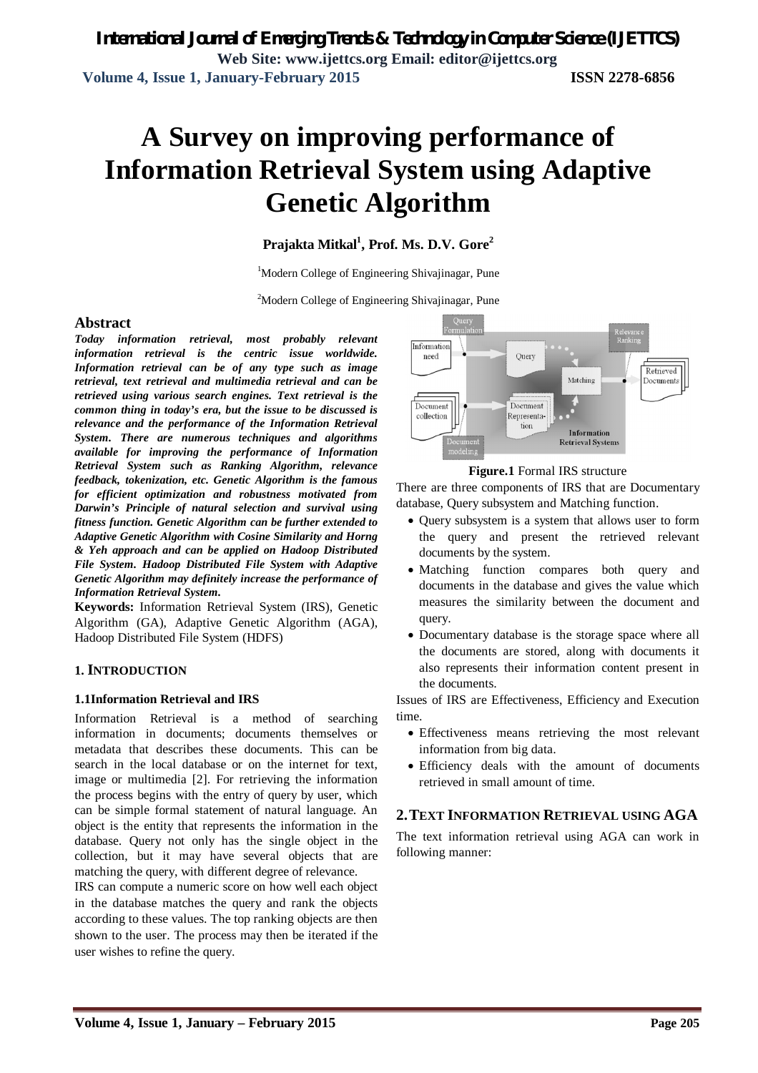# **A Survey on improving performance of Information Retrieval System using Adaptive Genetic Algorithm**

## **Prajakta Mitkal<sup>1</sup> , Prof. Ms. D.V. Gore<sup>2</sup>**

<sup>1</sup>Modern College of Engineering Shivajinagar, Pune

 $2^2$ Modern College of Engineering Shivajinagar, Pune

#### **Abstract**

*Today information retrieval, most probably relevant information retrieval is the centric issue worldwide. Information retrieval can be of any type such as image retrieval, text retrieval and multimedia retrieval and can be retrieved using various search engines. Text retrieval is the common thing in today's era, but the issue to be discussed is relevance and the performance of the Information Retrieval System. There are numerous techniques and algorithms available for improving the performance of Information Retrieval System such as Ranking Algorithm, relevance feedback, tokenization, etc. Genetic Algorithm is the famous for efficient optimization and robustness motivated from Darwin's Principle of natural selection and survival using fitness function. Genetic Algorithm can be further extended to Adaptive Genetic Algorithm with Cosine Similarity and Horng & Yeh approach and can be applied on Hadoop Distributed File System. Hadoop Distributed File System with Adaptive Genetic Algorithm may definitely increase the performance of Information Retrieval System.*

**Keywords:** Information Retrieval System (IRS), Genetic Algorithm (GA), Adaptive Genetic Algorithm (AGA), Hadoop Distributed File System (HDFS)

#### **1. INTRODUCTION**

#### **1.1Information Retrieval and IRS**

Information Retrieval is a method of searching information in documents; documents themselves or metadata that describes these documents. This can be search in the local database or on the internet for text, image or multimedia [2]. For retrieving the information the process begins with the entry of query by user, which can be simple formal statement of natural language. An object is the entity that represents the information in the database. Query not only has the single object in the collection, but it may have several objects that are matching the query, with different degree of relevance.

IRS can compute a numeric score on how well each object in the database matches the query and rank the objects according to these values. The top ranking objects are then shown to the user. The process may then be iterated if the user wishes to refine the query.





There are three components of IRS that are Documentary database, Query subsystem and Matching function.

- Query subsystem is a system that allows user to form the query and present the retrieved relevant documents by the system.
- Matching function compares both query and documents in the database and gives the value which measures the similarity between the document and query.
- Documentary database is the storage space where all the documents are stored, along with documents it also represents their information content present in the documents.

Issues of IRS are Effectiveness, Efficiency and Execution time.

- Effectiveness means retrieving the most relevant information from big data.
- Efficiency deals with the amount of documents retrieved in small amount of time.

#### **2.TEXT INFORMATION RETRIEVAL USING AGA**

The text information retrieval using AGA can work in following manner: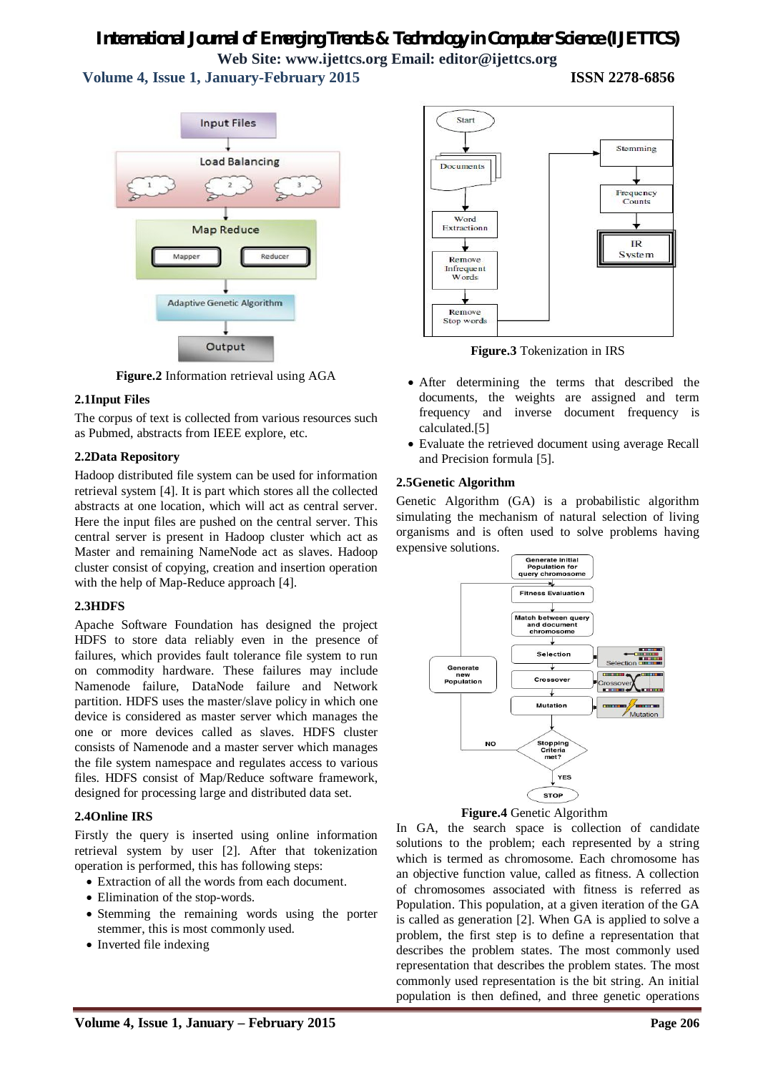# *International Journal of Emerging Trends & Technology in Computer Science (IJETTCS)* **Web Site: www.ijettcs.org Email: editor@ijettcs.org**

 **Volume 4, Issue 1, January-February 2015 ISSN 2278-6856**

**Input Files Load Balancing Map Reduce** Mapper Reducer **Adaptive Genetic Algorithm** Output

**Figure.2** Information retrieval using AGA

#### **2.1Input Files**

The corpus of text is collected from various resources such as Pubmed, abstracts from IEEE explore, etc.

#### **2.2Data Repository**

Hadoop distributed file system can be used for information retrieval system [4]. It is part which stores all the collected abstracts at one location, which will act as central server. Here the input files are pushed on the central server. This central server is present in Hadoop cluster which act as Master and remaining NameNode act as slaves. Hadoop cluster consist of copying, creation and insertion operation with the help of Map-Reduce approach [4].

#### **2.3HDFS**

Apache Software Foundation has designed the project HDFS to store data reliably even in the presence of failures, which provides fault tolerance file system to run on commodity hardware. These failures may include Namenode failure, DataNode failure and Network partition. HDFS uses the master/slave policy in which one device is considered as master server which manages the one or more devices called as slaves. HDFS cluster consists of Namenode and a master server which manages the file system namespace and regulates access to various files. HDFS consist of Map/Reduce software framework, designed for processing large and distributed data set.

### **2.4Online IRS**

Firstly the query is inserted using online information retrieval system by user [2]. After that tokenization operation is performed, this has following steps:

- Extraction of all the words from each document.
- Elimination of the stop-words.
- Stemming the remaining words using the porter stemmer, this is most commonly used.
- Inverted file indexing



**Figure.3** Tokenization in IRS

- After determining the terms that described the documents, the weights are assigned and term frequency and inverse document frequency is calculated.[5]
- Evaluate the retrieved document using average Recall and Precision formula [5].

#### **2.5Genetic Algorithm**

Genetic Algorithm (GA) is a probabilistic algorithm simulating the mechanism of natural selection of living organisms and is often used to solve problems having expensive solutions.





In GA, the search space is collection of candidate solutions to the problem; each represented by a string which is termed as chromosome. Each chromosome has an objective function value, called as fitness. A collection of chromosomes associated with fitness is referred as Population. This population, at a given iteration of the GA is called as generation [2]. When GA is applied to solve a problem, the first step is to define a representation that describes the problem states. The most commonly used representation that describes the problem states. The most commonly used representation is the bit string. An initial population is then defined, and three genetic operations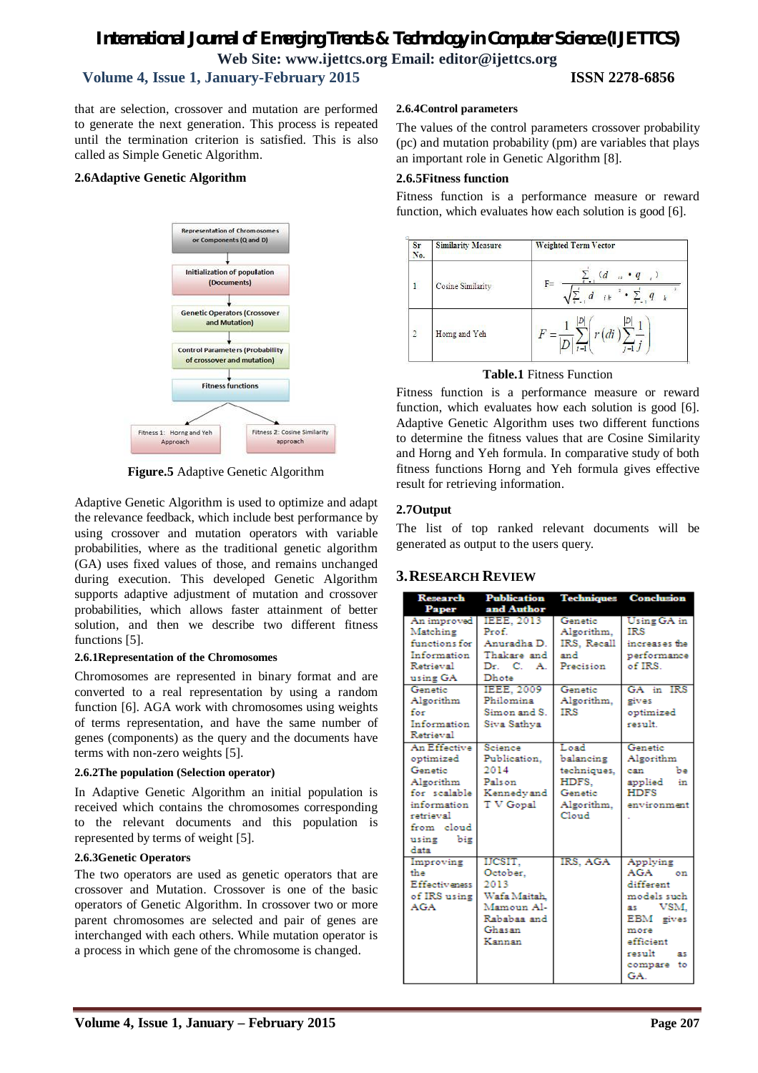# *International Journal of Emerging Trends & Technology in Computer Science (IJETTCS)* **Web Site: www.ijettcs.org Email: editor@ijettcs.org Volume 4, Issue 1, January-February 2015 ISSN 2278-6856**

that are selection, crossover and mutation are performed to generate the next generation. This process is repeated until the termination criterion is satisfied. This is also called as Simple Genetic Algorithm.

#### **2.6Adaptive Genetic Algorithm**



**Figure.5** Adaptive Genetic Algorithm

Adaptive Genetic Algorithm is used to optimize and adapt the relevance feedback, which include best performance by using crossover and mutation operators with variable probabilities, where as the traditional genetic algorithm (GA) uses fixed values of those, and remains unchanged during execution. This developed Genetic Algorithm supports adaptive adjustment of mutation and crossover probabilities, which allows faster attainment of better solution, and then we describe two different fitness functions [5].

#### **2.6.1Representation of the Chromosomes**

Chromosomes are represented in binary format and are converted to a real representation by using a random function [6]. AGA work with chromosomes using weights of terms representation, and have the same number of genes (components) as the query and the documents have terms with non-zero weights [5].

#### **2.6.2The population (Selection operator)**

In Adaptive Genetic Algorithm an initial population is received which contains the chromosomes corresponding to the relevant documents and this population is represented by terms of weight [5].

#### **2.6.3Genetic Operators**

The two operators are used as genetic operators that are crossover and Mutation. Crossover is one of the basic operators of Genetic Algorithm. In crossover two or more parent chromosomes are selected and pair of genes are interchanged with each others. While mutation operator is a process in which gene of the chromosome is changed.

#### **2.6.4Control parameters**

The values of the control parameters crossover probability (pc) and mutation probability (pm) are variables that plays an important role in Genetic Algorithm [8].

#### **2.6.5Fitness function**

Fitness function is a performance measure or reward function, which evaluates how each solution is good [6].

| Sr<br>No.      | <b>Similarity Measure</b> | <b>Weighted Term Vector</b>              |
|----------------|---------------------------|------------------------------------------|
| $\overline{1}$ | Cosine Similarity         | $\overline{d}$<br>- q<br>$F=$<br>ik<br>k |
| $\overline{2}$ | Homg and Yeh              | Ξ                                        |

#### **Table.1** Fitness Function

Fitness function is a performance measure or reward function, which evaluates how each solution is good [6]. Adaptive Genetic Algorithm uses two different functions to determine the fitness values that are Cosine Similarity and Horng and Yeh formula. In comparative study of both fitness functions Horng and Yeh formula gives effective result for retrieving information.

#### **2.7Output**

The list of top ranked relevant documents will be generated as output to the users query.

### **3.RESEARCH REVIEW**

| <b>Research</b>      | <b>Publication</b> | <b>Techniques</b> | <b>Conclusion</b> |
|----------------------|--------------------|-------------------|-------------------|
| Paper                | and Author         |                   |                   |
| An improved          | <b>IEEE, 2013</b>  | Genetic           | Using GA in       |
| Matching             | Prof.              | Algorithm.        | IRS               |
| functions for        | Anuradha D.        | IRS. Recall       | increases the     |
| Information          | Thakare and        | and               | performance       |
| Retrieval            | Dr. C. A.          | Precision         | of IRS.           |
| using GA             | Dhote              |                   |                   |
| Genetic              | <b>IEEE, 2009</b>  | Genetic           | GA in IRS         |
| Algorithm            | Philomina          | Algorithm.        | gives             |
| for                  | Simon and S.       | <b>IRS</b>        | optimized         |
| Information          | Siva Sathva        |                   | result.           |
| Retrieval            |                    |                   |                   |
| An Effective         | Science            | Load              | Genetic           |
| optimized            | Publication.       | balancing         | Algorithm         |
| Genetic              | 2014               | techniques.       | can<br>Ъa         |
| Algorithm            | Palson             | HDFS.             | applied<br>in     |
| for scalable         | Kennedyand         | Genetic           | <b>HDFS</b>       |
| information          | T V Gopal          | Algorithm.        | environment       |
| retrieval            |                    | Cloud             |                   |
| from cloud           |                    |                   |                   |
| using<br>big         |                    |                   |                   |
| data                 |                    |                   |                   |
| Improving            | IJCSIT,            | IRS, AGA          | Applying          |
| the                  | October.           |                   | AGA<br>on         |
| <b>Effectiveness</b> | 2013               |                   | different         |
| of IRS using         | Wafa Maitah.       |                   | models such       |
| <b>AGA</b>           | Mamoun Al-         |                   | VSM,<br>as.       |
|                      | Rababaa and        |                   | EBM gives         |
|                      | Ghasan             |                   | more              |
|                      | Kannan             |                   | efficient         |
|                      |                    |                   | result<br>яs      |
|                      |                    |                   | compare<br>to     |
|                      |                    |                   | GA.               |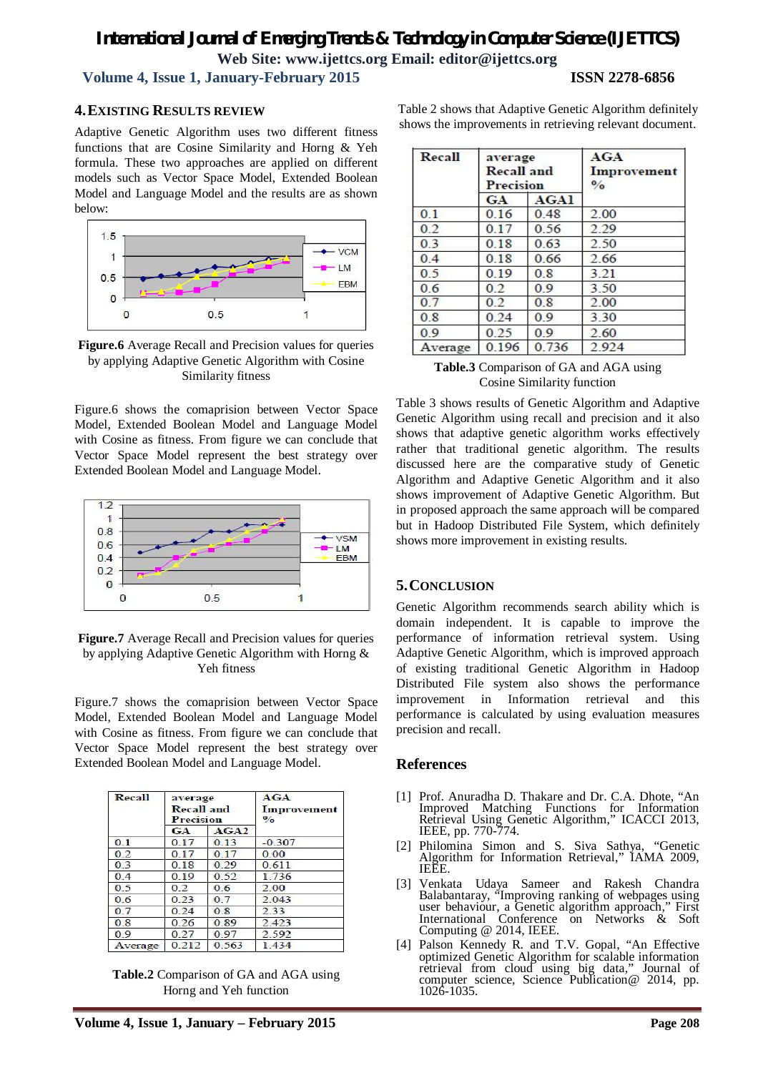## *International Journal of Emerging Trends & Technology in Computer Science (IJETTCS)* **Web Site: www.ijettcs.org Email: editor@ijettcs.org Volume 4, Issue 1, January-February 2015 ISSN 2278-6856**

### **4.EXISTING RESULTS REVIEW**

Adaptive Genetic Algorithm uses two different fitness functions that are Cosine Similarity and Horng & Yeh formula. These two approaches are applied on different models such as Vector Space Model, Extended Boolean Model and Language Model and the results are as shown below:



**Figure.6** Average Recall and Precision values for queries by applying Adaptive Genetic Algorithm with Cosine Similarity fitness

Figure.6 shows the comaprision between Vector Space Model, Extended Boolean Model and Language Model with Cosine as fitness. From figure we can conclude that Vector Space Model represent the best strategy over Extended Boolean Model and Language Model.



**Figure.7** Average Recall and Precision values for queries by applying Adaptive Genetic Algorithm with Horng & Yeh fitness

Figure.7 shows the comaprision between Vector Space Model, Extended Boolean Model and Language Model with Cosine as fitness. From figure we can conclude that Vector Space Model represent the best strategy over Extended Boolean Model and Language Model.

| Recall         | average<br><b>Recall and</b><br>Precision |       | AGA<br>Improvement<br>$\frac{0}{\alpha}$ |
|----------------|-------------------------------------------|-------|------------------------------------------|
|                | GA                                        | AGA2  |                                          |
| 0 <sup>1</sup> | 0.17                                      | 0.13  | $-0.307$                                 |
| 0.2            | 0.17                                      | 0.17  | 0.00                                     |
| 0.3            | 0.18                                      | 0.29  | 0.611                                    |
| 0.4            | 0.19                                      | 0.52  | 1.736                                    |
| 0 <sub>5</sub> | 02                                        | 0.6   | 2.00                                     |
| 0.6            | 0.23                                      | 0.7   | 2.043                                    |
| 0.7            | 0.24                                      | 0.8   | 2.33                                     |
| 0.8            | 0.26                                      | 0.89  | 2.423                                    |
| 09             | 027                                       | 0.97  | 2.592                                    |
| Average        | 0.212                                     | 0.563 | 1434                                     |

**Table.2** Comparison of GA and AGA using Horng and Yeh function

Table 2 shows that Adaptive Genetic Algorithm definitely shows the improvements in retrieving relevant document.

| Recall         | average<br><b>Recall and</b><br><b>Precision</b> |       | AGA<br>Improvement<br>$\frac{0}{\alpha}$ |
|----------------|--------------------------------------------------|-------|------------------------------------------|
|                | GA                                               | AGAI  |                                          |
| 0 <sub>1</sub> | 0.16                                             | 0.48  | 2.00                                     |
| 0.2            | 0.17                                             | 0.56  | 2.29                                     |
| 0.3            | 0.18                                             | 0.63  | 2.50                                     |
| 0.4            | 0.18                                             | 0.66  | 2.66                                     |
| 0 <sub>5</sub> | 0.19                                             | 0.8   | 3 2 1                                    |
| 0 <sub>6</sub> | 02                                               | 09    | 3.50                                     |
| 0.7            | 0.2                                              | 0.8   | 2.00                                     |
| 0.8            | 0.24                                             | 0.9   | 3.30                                     |
| 0.9            | 0.25                                             | 0.9   | 2.60                                     |
| Average        | 0.196                                            | 0.736 | 2.924                                    |

#### **Table.3** Comparison of GA and AGA using Cosine Similarity function

Table 3 shows results of Genetic Algorithm and Adaptive Genetic Algorithm using recall and precision and it also shows that adaptive genetic algorithm works effectively rather that traditional genetic algorithm. The results discussed here are the comparative study of Genetic Algorithm and Adaptive Genetic Algorithm and it also shows improvement of Adaptive Genetic Algorithm. But in proposed approach the same approach will be compared but in Hadoop Distributed File System, which definitely shows more improvement in existing results.

### **5.CONCLUSION**

Genetic Algorithm recommends search ability which is domain independent. It is capable to improve the performance of information retrieval system. Using Adaptive Genetic Algorithm, which is improved approach of existing traditional Genetic Algorithm in Hadoop Distributed File system also shows the performance improvement in Information retrieval and this performance is calculated by using evaluation measures precision and recall.

#### **References**

- [1] Prof. Anuradha D. Thakare and Dr. C.A. Dhote, "An Improved Matching Functions for Information Retrieval Using Genetic Algorithm," ICACCI 2013, IEEE, pp. 770-774.
- [2] Philomina Simon and S. Siva Sathya, "Genetic Algorithm for Information Retrieval," IAMA 2009, IEEE.
- [3] Venkata Udaya Sameer and Rakesh Chandra Balabantaray, "Improving ranking of webpages using user behaviour, a Genetic algorithm approach," First International Conference on Networks & Soft Computing @ 2014, IEEE.
- [4] Palson Kennedy R. and T.V. Gopal, "An Effective optimized Genetic Algorithm for scalable information retrieval from cloud using big data," computer science, Science Publication@ 2014, pp. 1026-1035.